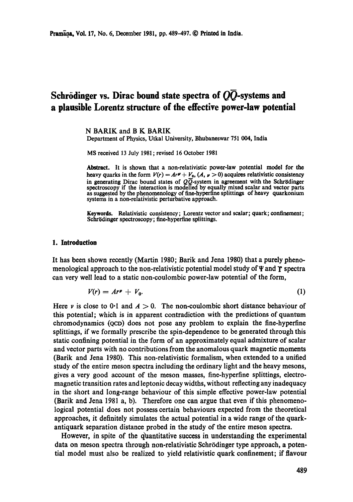# Schrödinger vs. Dirac bound state spectra of  $O\overline{O}$ -systems and **a plausible Lorentz structure of the effective power-law potential**

N BARIK and B K BARIK

Department of Physics, Utkal University, Bhubaneswar 751 004, India

MS received 13 July 1981; revised 16 October 1981

Abstract. It is shown that a non-relativistic power-law potential model for **the**  heavy quarks in the form  $V(r) = Ar^{\gamma} + V_0$ ,  $(A, \nu > 0)$  acquires relativistic consistency in generating Dirac bound states of  $Q\overline{Q}$ -system in agreement with the Schrödinger spectroscopy if the interaction is modelled by equally mixed scalar and vector parts as suggested by the phenomenology of fine-hyperfine splittings of heavy quarkonium systems in a non-relativistic perturbative approach.

**Keywords.** Relativistic consistency; Lorentz vector and scalar; quark; confinement; Schrödinger spectroscopy; fine-hyperfine splittings.

#### **1. Introduction**

It has been shown recently (Martin 1980; Barik and Jena 1980) that a purely phenomenological approach to the non-relativistic potential model study of  $\Psi$  and  $\Upsilon$  spectra can very well lead to a static non-coulombic power-law potential of the form,

$$
V(r) = Ar^p + V_0. \tag{1}
$$

Here y is close to 0.1 and  $A > 0$ . The non-coulombic short distance behaviour of this potential; which is in apparent contradiction with the predictions of quantum ehromodynamies (QCD) does not pose any problem to explain the fine-hyperfine splittings, if we formally prescribe the spin-dependence to be generated through this static confining potential in the form of an approximately equal admixture of scalar and vector parts with no contributions from the anomalous quark magnetic moments (Batik and Jena 1980). This non-relativistic formalism, when extended to a unified study of the entire meson spectra including the ordinary light and the heavy mesons, gives a very good account of the meson masses, fine-hyperfine splittings, electromagnetic transition rates and leptonie decay widths, without reflecting any inadequacy in the short and long-range behaviour of this simple effective power-law potential (Batik and Jena 1981 a, b). Therefore one can argue that even if this phenomenological potential does not possess certain behaviours expected from the theoretical approaches, it definitely simulates the actual potential in a wide range of the quarkantiquark separation distance probed in the study of the entire meson spectra.

However, in spite of the quantitative success in understanding the experimental data on meson spectra through non-relativistic Schrödinger type approach, a potential model must also be realized to yield relativistic quark confinement; if flavour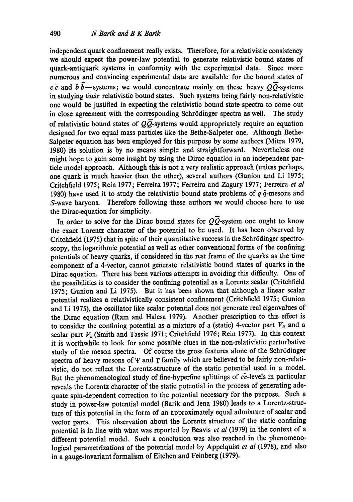independent quark confinement really exists. Therefore, for a relativistic consistency we should expect the power-law potential to generate relativistic bound states of quark-antiquark systems in conformity with the experimental data. Since more numerous and convincing experimental data are available for the bound states of  $c \bar{c}$  and  $b \bar{b}$ —systems; we would concentrate mainly on these heavy  $Q\bar{Q}$ -systems in studying their relativistic bound states. Such systems being fairly non-relativistic one would be justified in expecting the relativistic bound state spectra to come out in close agreement with the corresponding Schrödinger spectra as well. The study of relativistic bound states of  $Q\overline{Q}$ -systems would appropriately require an equation designed for two equal mass particles like the Bethe-Salpeter one. Although Bethe-Salpeter equation has been employed for this purpose by some authors (Mitra 1979, 1980) its solution is by no means simple and straightforward. Nevertheless one might hope to gain some insight by using the Dirac equation in an independent particle model approach. Although this is not a very realistic approach (unless perhaps, one quark is much heavier than the other), several authors (Gunion and Li 1975; Critchfield 1975; Rein 1977; Ferreira 1977; Ferreira and Zagury 1977; Ferreira *et al*  1980) have used it to study the relativistic bound state problems of  $q\bar{q}$ -mesons and S-wave baryons. Therefore following these authors we would choose here to use the Dirac-equation for simplicity.

In order to solve for the Dirac bound states for  $Q\overline{Q}$ -system one ought to know the exact Lorentz character of the potential to be used. It has been observed by Critchfield (1975) that in spite of their quantitative success in the Schrödinger spectroscopy, the logarithmic potential as well as other conventional forms of the confining potentials of heavy quarks, if considered in the rest frame of the quarks as the time component of a 4-vector, cannot generate relativistic bound states of quarks in the Dirac equation. There has been various attempts in avoiding this difficulty. One of the possibilities is to consider the confining potential as a Lorentz scalar (Critchfield 1975; Gunion and Li 1975). But it has been shown that although a linear scalar potential realizes a relativistically consistent confinement (Critchfield 1975; Gunion and Li 1975), the oscillator like scalar potential does not generate real eigenvalues of the Dirac equation (Ram and Halesa 1979). Another prescription to this effect is to consider the confining potential as a mixture of a (static) 4-vector part  $V_v$  and a scalar part  $V_s$  (Smith and Tassie 1971; Critchfield 1976; Rein 1977). In this context it is worthwhile to look for some possible clues in the non-relativistic perturbative study of the meson spectra. Of course the gross features alone of the Schrödinger spectra of heavy mesons of  $\Psi$  and  $\Upsilon$  family which are believed to be fairly non-relativistic, do not reflect the Lorentz-structure of the static potential used in a model. But the phenomenological study of fine-hyperfine splittings of  $c\bar{c}$ -levels in particular reveals the Lorentz character of the static potential in the process of generating adequate spin-dependent correction to the potential necessary for the purpose. Such a study in power-law potential model (Barik and Jena 1980) leads to a Lorentz-structure of this potential in the form of an approximately equal admixture of scalar and vector parts. This observation about the Lorentz structure of the static confining potential is in line with what was reported by Beavis *et al* (1979) in the context of a different potential model. Such a conclusion was also reached in the phenomenological parametrizations of the potential model by Appelquist *et al* (1978), and also in a gauge-invariant formalism of Eitchen and Feinberg (1979).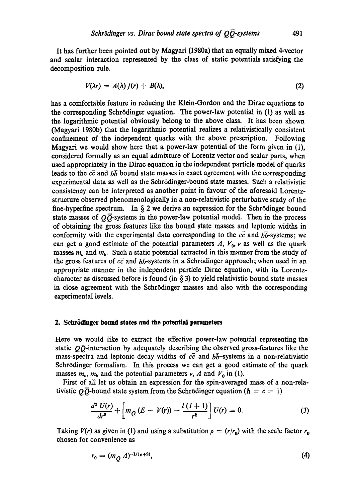It has further been pointed out by Magyari (1980a) that an equally mixed 4-vector and scalar interaction represented by the class of static potentials satisfying the decomposition rule.

$$
V(\lambda r) = A(\lambda) f(r) + B(\lambda), \qquad (2)
$$

has a comfortable feature in reducing the Klein-Gordon and the Dirac equations to the corresponding Schrödinger equation. The power-law potential in (1) as well as the logarithmic potential obviously belong to the above class. It has been shown (Magyari 1980b) that the logarithmic potential realizes a relativistically consistent confinement of the independent quarks with the above prescription. Following Magyari we would show here that a power-law potential of the form given in (1), considered formally as an equal admixture of Lorentz vector and scalar parts, when used appropriately in the Dirac equation in the independent particle model of quarks leads to the  $c\bar{c}$  and  $b\bar{b}$  bound state masses in exact agreement with the corresponding experimental data as well as the Schrödinger-bound state masses. Such a relativistic consistency can be interpreted as another point in favour of the aforesaid Lorentzstructure observed phenomenologically in a non-relativistic perturbative study of the fine-hyperfine spectrum. In  $\S 2$  we derive an expression for the Schrödinger bound state masses of  $Q\overline{Q}$ -systems in the power-law potential model. Then in the process of obtaining the gross features like the bound state masses and leptonic widths in conformity with the experimental data corresponding to the  $c\bar{c}$  and  $b\bar{b}$ -systems; we can get a good estimate of the potential parameters  $A$ ,  $V_0$ ,  $\nu$  as well as the quark masses  $m_c$  and  $m_b$ . Such a static potential extracted in this manner from the study of the gross features of  $c\bar{c}$  and  $b\bar{b}$ -systems in a Schrödinger approach; when used in an appropriate manner in the independent particle Dirac equation, with its Lorentzcharacter as discussed before is found (in  $\S$  3) to yield relativistic bound state masses in close agreement with the Schrsdinger masses and also with the corresponding experimental levels.

#### **2.** Schrödinger bound states and the potential parameters

Here we would like to extract the effective power-law potential representing the static  $Q\overline{Q}$ -interaction by adequately describing the observed gross-features like the mass-spectra and leptonic decay widths of  $c\bar{c}$  and  $b\bar{b}$ -systems in a non-relativistic Schrödinger formalism. In this process we can get a good estimate of the quark masses  $m_c$ ,  $m_b$  and the potential parameters v, A and  $V_0$  in (1).

First of all let us obtain an expression for the spin-averaged mass of a non-relativistic  $Q\overline{Q}$ -bound state system from the Schrödinger equation ( $\hbar = c = 1$ )

$$
\frac{d^2 U(r)}{dr^2} + \left[ m_Q (E - V(r)) - \frac{l (l+1)}{r^2} \right] U(r) = 0.
$$
 (3)

Taking  $V(r)$  as given in (1) and using a substitution  $\rho = (r/r_0)$  with the scale factor  $r_0$ chosen for convenience as

$$
r_0 = (m_Q A)^{-1/(\nu+2)},\tag{4}
$$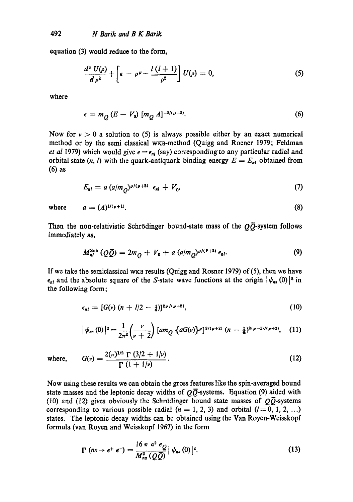equation (3) would reduce to the form,

$$
\frac{d^2 U(\rho)}{d \rho^2} + \left[\epsilon - \rho^{\nu} - \frac{l(l+1)}{\rho^2}\right]U(\rho) = 0, \tag{5}
$$

where

$$
\epsilon = m_Q (E - V_0) [m_Q A]^{-2/(\nu+2)}.
$$
 (6)

Now for  $\nu > 0$  a solution to (5) is always possible either by an exact numerical method or by the semi classical wKB-method (Quigg and Roener 1979; Feldman *et al 1979*) which would give  $\epsilon = \epsilon_{nl}$  (say) corresponding to any particular radial and orbital state  $(n, l)$  with the quark-antiquark binding energy  $E = E_{nl}$  obtained from (6) as

$$
E_{nl} = a (a/mO)^{\nu/(\nu+2)} \epsilon_{nl} + V_0, \qquad (7)
$$

where  $a = (A)^{1/(\nu+1)}$ . (8)

Then the non-relativistic Schrödinger bound-state mass of the  $Q\bar{Q}$ -system follows immediately as,

$$
M_{nl}^{\text{Sch}}\left(Q\bar{Q}\right)=2m_{\tilde{Q}}+V_0+a\left(a/m_{\tilde{Q}}\right)^{p/(P+2)}\epsilon_{nl}.\tag{9}
$$

If we take the semielassical WKa results (Quigg and Rosner 1979) of (5), then we have  $\epsilon_{nl}$  and the absolute square of the S-state wave functions at the origin  $|\psi_{ns}(0)|^2$  in the following form;

$$
\epsilon_{nl} = [G(\nu) (n + l/2 - \frac{1}{4})]^{2\nu / (\nu + 2)}, \qquad (10)
$$

$$
|\psi_{nS}(0)|^2=\frac{1}{2\pi^2}\left(\frac{\nu}{\nu+2}\right)[am_Q\left\{aG(\nu)\right\}^{\nu}]^{3/(\nu+2)}(n-\frac{1}{4})^{2(\nu-1)/(\nu+2)},\quad (11)
$$

where,  $G(v) = \frac{2(\pi)^{3/2} \Gamma(3/2 + 1/\nu)}{(\pi)^2}$  (12)  $\Gamma\left(1+1/\nu\right)$ 

Now using these results we can obtain the gross features like the spin-averaged bound state masses and the leptonic decay widths of  $\overline{O}$ -systems. Equation (9) aided with (10) and (12) gives obviously the Schrödinger bound state masses of  $\overrightarrow{O}$  systems corresponding to various possible radial ( $n = 1, 2, 3$ ) and orbital ( $l = 0, 1, 2, ...$ ) states. The leptonic decay widths can be obtained using the Van Royen-Weisskopf formula (van Royen and Weisskopf 1967) in the form

$$
\Gamma\left(ns\rightarrow e^+e^-\right)=\frac{16\,\pi\,\,\alpha^2\,\,e_Q}{M_{ns}^2\,\left(Q\,\overline{Q}\right)}\,|\,\psi_{ns}\left(0\right)|^2.\tag{13}
$$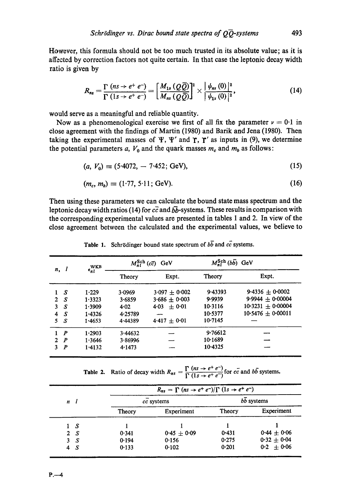However, this formula should not be too much trusted in its absolute value; as it is affected by correction factors not quite certain. In that case the leptonic decay width ratio is given by

$$
R_{ns} = \frac{\Gamma\left(ns \rightarrow e^+e^-\right)}{\Gamma\left(ls \rightarrow e^+e^-\right)} = \left[\frac{M_{1s}\left(Q\overline{Q}\right)}{M_{ns}\left(Q\overline{Q}\right)}\right]^2 \times \frac{\left|\psi_{ns}\left(0\right)\right|^2}{\left|\psi_{1s}\left(0\right)\right|^2},\tag{14}
$$

would serve as a meaningful and reliable quantity.

Now as a phenomenological exercise we first of all fix the parameter  $\nu = 0.1$  in close agreement with the findings of Martin (1980) and Barik and Jena (1980). Then taking the experimental masses of  $\Psi$ ,  $\Psi'$  and  $\Upsilon$ ,  $\Upsilon'$  as inputs in (9), we determine the potential parameters a,  $V_0$  and the quark masses  $m_c$  and  $m_b$  as follows:

$$
(a, V_0) \equiv (5.4072, -7.452; GeV), \tag{15}
$$

$$
(m_c, m_b) \equiv (1.77, 5.11; GeV). \tag{16}
$$

Then using these parameters we can calculate the bound state mass spectrum and the leptonic decay width ratios (14) for  $c\bar{c}$  and  $b\bar{b}$ -systems. These results in comparison with the corresponding experimental values are presented in tables I and 2. In view of the close agreement between the calculated and the experimental values, we believe to

| n,           |                  | WKB<br>$\epsilon_{nl}$ | $M_{nl}^{\text{Sch}}(c\bar{c})$<br>GeV |                 | $M_{nl}^{\text{Sch}}(b\bar{b})$ GeV |                     |
|--------------|------------------|------------------------|----------------------------------------|-----------------|-------------------------------------|---------------------|
|              |                  |                        | Theory                                 | Expt.           | Theory                              | Expt.               |
|              | S                | 1.229                  | 3.0969                                 | $3.097 + 0.002$ | 9.43393                             | $9.4336 + 0.0002$   |
| $\mathbf{2}$ | S                | 1.3323                 | 3.6859                                 | $3.686 + 0.003$ | 9.9939                              | $9.9944 + 0.00004$  |
| 3.           | S                | 1.3909                 | 4.02                                   | $+0.01$<br>4.03 | 10.3116                             | $10.3231 + 0.00004$ |
| 4            | S                | 1.4326                 | 4.25789                                | --              | 10.5377                             | $10.5476 + 0.00011$ |
| 5.           | S                | 1.4653                 | 4.44389                                | $4.417 + 0.01$  | $10-7145$                           |                     |
|              | $1$ $P$          | 1.2903                 | 3.44632                                |                 | 9.76612                             |                     |
| 2.           | P                | 1.3646                 | 3.86996                                |                 | 10.1689                             |                     |
| 3.           | $\boldsymbol{P}$ | 1.4132                 | 4.1473                                 |                 | 10.4325                             |                     |

Table 1. Schrödinger bound state spectrum of  $b\overline{b}$  and  $c\overline{c}$  systems.

**Table 2.** Ratio of decay width  $R_{ns} = \frac{\Gamma(n s \rightarrow e^+ e^-)}{\Gamma(1 s \rightarrow e^+ e^-)}$  for  $c\bar{c}$  and  $b\bar{b}$  systems.

|          |     | $R_{ns} = \Gamma (ns \rightarrow e^+ e^-)/\Gamma (1s \rightarrow e^+ e^-)$ |               |            |               |  |
|----------|-----|----------------------------------------------------------------------------|---------------|------------|---------------|--|
| $n \, l$ |     | cc systems                                                                 |               | bb systems |               |  |
|          |     | Theory                                                                     | Experiment    | Theory     | Experiment    |  |
|          | -S  |                                                                            |               |            |               |  |
|          | 2 S | 0.341                                                                      | $0.45 + 0.09$ | 0.431      | $0.44 + 0.06$ |  |
| 3        | -S  | 0.194                                                                      | 0.156         | 0.275      | $0.32 + 0.04$ |  |
| 4        | -S  | 0.133                                                                      | 0.102         | 0.201      | $0.2 + 0.06$  |  |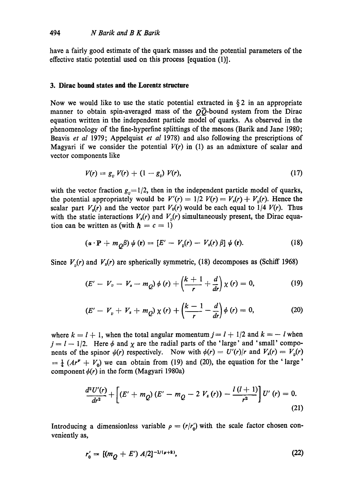have a fairly good estimate of the quark masses and the potential parameters of the effective static potential used on this process [equation (1)].

#### **3. Dirac bound states and the Lorentz structure**

Now we would like to use the static potential extracted in  $\S$ 2 in an appropriate manner to obtain spin-averaged mass of the  $\overline{O}$ -bound system from the Dirac equation written in the independent particle model of quarks. As observed in the phenomenology of the fine-hyperfine splittings of the mesons (Barik and Jane 1980; Beavis *et al* 1979; Appelquist *et al* 1978) and also following the prescriptions of Magyari if we consider the potential  $V(r)$  in (1) as an admixture of scalar and vector components like

$$
V(r) = g_v V(r) + (1 - g_v) V(r), \qquad (17)
$$

with the vector fraction  $g_v=1/2$ , then in the independent particle model of quarks, the potential appropriately would be  $V'(r) = 1/2$   $V(r) = V_s(r) + V_n(r)$ . Hence the scalar part  $V_s(r)$  and the vector part  $V_v(r)$  would be each equal to  $1/4 V(r)$ . Thus with the static interactions  $V_s(r)$  and  $V_n(r)$  simultaneously present, the Dirac equation can be written as (with  $h = c = 1$ )

$$
(\alpha \cdot \mathbf{P} + m_Q \beta) \psi(\mathbf{r}) = [E' - V_v(r) - V_s(r) \beta] \psi(\mathbf{r}). \qquad (18)
$$

Since  $V_{n}(r)$  and  $V_{s}(r)$  are spherically symmetric, (18) decomposes as (Schiff 1968)

$$
(E' - V_v - V_s - m_Q) \phi(r) + \left(\frac{k+1}{r} + \frac{d}{dr}\right) \chi(r) = 0, \qquad (19)
$$

$$
(E' - V_v + V_s + m_Q) \chi(r) + \left(\frac{k-1}{r} - \frac{d}{dr}\right) \phi(r) = 0, \tag{20}
$$

where  $k = l + 1$ , when the total angular momentum  $j = l + 1/2$  and  $k = -l$  when  $j = l - 1/2$ . Here  $\phi$  and  $\chi$  are the radial parts of the 'large' and 'small' components of the spinor  $\psi(r)$  respectively. Now with  $\phi(r) = U'(r)/r$  and  $V_s(r) = V_v(r)$  $=\frac{1}{4}$  ( $Ar'' + V_0$ ) we can obtain from (19) and (20), the equation for the 'large' component  $\phi(r)$  in the form (Magyari 1980a)

$$
\frac{d^2U'(r)}{dr^2} + \left[ (E' + m_Q)(E' - m_Q - 2 V_s(r)) - \frac{l(l+1)}{r^2} \right] U'(r) = 0.
$$
\n(21)

Introducing a dimensionless variable  $\rho = (r/r_0)$  with the scale factor chosen conveniently as,

$$
r_0' = [(m_O + E') A/2]^{-1/(\nu+2)},\tag{22}
$$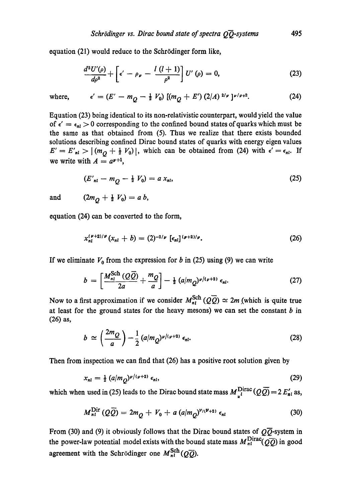equation (21) would reduce to the Schrödinger form like,

$$
\frac{d^2U'(\rho)}{d\rho^2} + \left[\epsilon' - \rho_\nu - \frac{l(l+1)}{\rho^2}\right]U'(\rho) = 0, \qquad (23)
$$

where, 
$$
\epsilon' = (E' - m_Q - \frac{1}{2} V_0) [(m_Q + E') (2/A)^{2/\nu}]^{\nu/\nu+2}.
$$
 (24)

Equation (23) being identical to its non-relativistic counterpart, would yield the value of  $\epsilon' = \epsilon_{nl} > 0$  corresponding to the confined bound states of quarks which must be the same as that obtained from (5). Thus we realize that there exists bounded solutions describing confined Dirae bound states of quarks with energy eigen values  $E' = E'_{nl} > |(m_Q + \frac{1}{2} V_0)|$ , which can be obtained from (24) with  $\epsilon' = \epsilon_{nl}$ . If we write with  $A = a^{p+1}$ ,

$$
(E'_{nl} - m_Q - \frac{1}{2} V_0) = a x_{nl}, \qquad (25)
$$

and (2

$$
2m_Q+\tfrac{1}{2}V_0)=a\;b,
$$

equation (24) can be converted to the form,

$$
x_{nl}^{(\nu+2)/\nu}(x_{nl}+b)=(2)^{-2/\nu} [\epsilon_{nl}]^{(\nu+2)/\nu}.
$$
 (26)

If we eliminate  $V_0$  from the expression for b in (25) using (9) we can write

$$
b = \left[\frac{M_{nl}^{\text{Sch}}(Q\overline{Q})}{2a} + \frac{m_Q}{a}\right] - \frac{1}{2} (a/m_Q)^{\nu/(\nu+2)} \epsilon_{nl}.
$$
 (27)

Now to a first approximation if we consider  $M_{nl}^{Sch}(Q\bar{Q}) \simeq 2m$  (which is quite true at least for the ground states for the heavy mesons) we can set the constant  $b$  in **(26) as,** 

$$
b \simeq \left(\frac{2m_Q}{a}\right) - \frac{1}{2} \left(a/m_Q\right)^{\nu/(\nu+2)} \epsilon_{nl}.
$$
 (28)

Then from inspection we can find that (26) has a positive root solution given by

$$
x_{nl} = \frac{1}{2} \left( a/m \frac{\partial^{p/(p+2)}}{\partial t} \epsilon_{nl}, \right) \tag{29}
$$

which when used in (25) leads to the Dirac bound state mass  $M_{\mu}^{\text{Dirac}}(QQ)=2 E_{nl}^{\prime}$  as,

$$
M_{nl}^{\text{Dir}}\left(Q\overline{Q}\right) = 2m_{\overline{Q}} + V_0 + a\left(a/m_{\overline{Q}}\right)^{\nu_l(\nu+2)}\epsilon_{nl} \tag{30}
$$

From (30) and (9) it obviously follows that the Dirac bound states of  $Q\overline{Q}$ -system in the power-law potential model exists with the bound state mass  $M_{nl}^{\text{Dirac}}(Q\overline{Q})$  in good agreement with the Schrödinger one  $M_{nl}^{Sch}(Q\overline{Q})$ .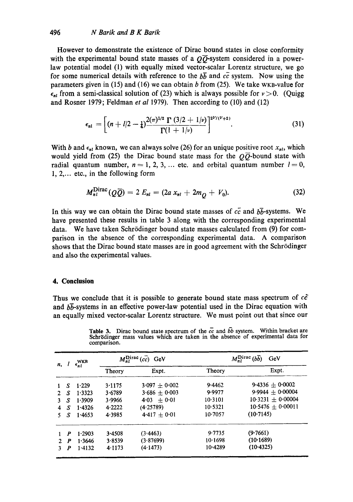## 496 *N Batik and B K Batik*

However to demonstrate the existence of Dirac bound states in close conformity with the experimental bound state masses of a  $\overline{O}$ -system considered in a powerlaw potential model (1) with equally mixed vector-scalar Lorentz structure, we go for some numerical details with reference to the  $b\bar{b}$  and  $c\bar{c}$  system. Now using the parameters given in (15) and (16) we can obtain b from (25). We take WKB-value for  $\epsilon_{nl}$  from a semi-classical solution of (23) which is always possible for  $\nu > 0$ . (Quigg and Rosner 1979; Feldman *et al* 1979). Then according to (10) and (12)

$$
\epsilon_{nl} = \left[ (n + l/2 - \frac{1}{4}) \frac{2(\pi)^{1/2} \Gamma (3/2 + 1/\nu)}{\Gamma(1 + 1/\nu)} \right]^{2^{\nu}/(\nu+2)}.
$$
 (31)

With b and  $\epsilon_{nl}$  known, we can always solve (26) for an unique positive root  $x_{nl}$ , which would yield from (25) the Dirac bound state mass for the  $Q\overline{Q}$ -bound state with radial quantum number,  $n=1, 2, 3, ...$  etc. and orbital quantum number  $l=0$ , 1, 2,... etc., in the following form

$$
M_{nl}^{\text{Dirac}}(Q\bar{Q}) = 2 E_{nl} = (2a x_{nl} + 2m_Q + V_0). \tag{32}
$$

In this way we can obtain the Dirac bound state masses of  $c\bar{c}$  and  $b\bar{b}$ -systems. We have presented these results in table 3 along with the corresponding experimental data. We have taken Schrödinger bound state masses calculated from (9) for comparison in the absence of the corresponding experimental data. A comparison shows that the Dirac bound state masses are in good agreement with the Schrödinger and also the experimental values.

### **4. Conclusion**

Thus we conclude that it is possible to generate bound state mass spectrum of  $c\bar{c}$ and  $b\bar{b}$ -systems in an effective power-law potential used in the Dirac equation with an equally mixed vector-scalar Lorentz structure. We must point out that since our

| n,             |    | $\epsilon_{nl}^{\rm WKB}$ | $M_{nl}^{\text{Dirac}}(c\bar{c})$ GeV |                 | $M_{nl}^{\text{Dirac}}$ (bb)<br>GeV |                       |  |
|----------------|----|---------------------------|---------------------------------------|-----------------|-------------------------------------|-----------------------|--|
|                |    |                           | Theory                                | Expt.           | Theory                              | Expt.                 |  |
|                | S. | 1.229                     | 3.1175                                | $3.097 + 0.002$ | 9.4462                              | 9.4336 $\pm$ 0.0002   |  |
| 2              | S  | 1.3323                    | 3.6789                                | $3.686 + 0.003$ | 9.9977                              | $9.9944 + 0.00004$    |  |
| 3              | S  | 1.3909                    | 3.9966                                | $4.03 + 0.01$   | 10.3101                             | $10.3231 + 0.00004$   |  |
| $\overline{4}$ | S  | 1.4326                    | 4.2222                                | (4.25789)       | 10.5321                             | $10.5476 \pm 0.00011$ |  |
|                | S  | 1.4653                    | 4.3985                                | $4.417 + 0.01$  | 10.7057                             | (10.7145)             |  |
|                | P  | 1.2903                    | 3.4508                                | (3.4463)        | 9.7735                              | (9.7661)              |  |
| 2              | P  | 1.3646                    | 3.8539                                | (3.87699)       | 10.1698                             | (10.1689)             |  |
|                | P  | 1.4132                    | 4.1173                                | (4.1473)        | 10.4289                             | (10.4325)             |  |

Table 3. Dirac bound state spectrum of the  $cc$  and  $\bar{b}b$  system. Within bracket are Schrödinger mass values which are taken in the absence of experimental data for comparison.